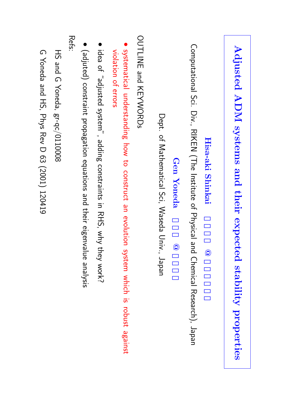| Adjusted ADM systems and their expected stability properties                                                   |
|----------------------------------------------------------------------------------------------------------------|
| Hisa-aki Shinkai<br>$\circledcirc$                                                                             |
| Computational Sci. Div., RIKEN (The Institute of Physical and<br>Chemical Research), Japan                     |
| Gen Yoneda<br>$\widehat{\mathbf{Q}}$                                                                           |
| Dept. of Mathematical Sci, Xaseda Driv.<br>Japan                                                               |
| OUTLINE and XEYWORDs                                                                                           |
| systematical understanding how to construct an evolution system which is robust against<br>violation of errors |
| idea of "adjusted system", adding constraints in RHS, why th<br>Iey work?                                      |
| (adjuted) constraint propagation equations and their eigenvalue analysis                                       |
| Refs:                                                                                                          |
| HS and G Yoneda, gr-qc/0110008                                                                                 |
| G Yoneda and HS, Phys Rev D 63 (2001) 120419                                                                   |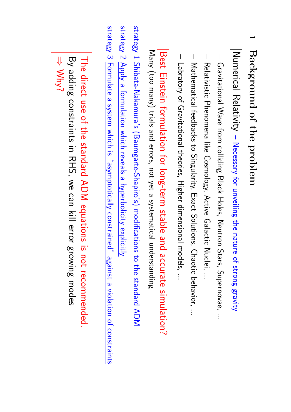| The direct use of the standard ADM equations<br>Why?<br>By adding constraints in RHS, we can kill error<br>is not recommended.<br>growing modes |
|-------------------------------------------------------------------------------------------------------------------------------------------------|
|-------------------------------------------------------------------------------------------------------------------------------------------------|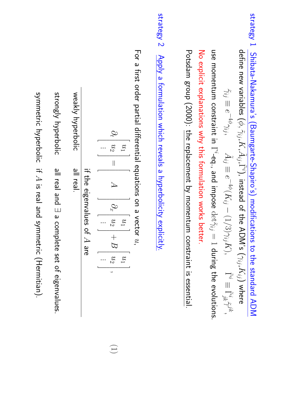strategy 1Shibata-Nakamura's(Baumgarte-Shapiro's)modifications to the standard ADM define new variables  $(\phi,$  $\widetilde{\gamma}_{ij}$ , $K,\widetilde{A}$  $\{\tilde{\Gamma}^i\}$ , instead of the ADM's  $(\gamma_{ij},K_{ij})$ where  $\widetilde{\widetilde{\mathcal{Z}'}}$ ≡  $e^{-4\phi}\gamma_{ij},$ A˜ij ≡  $e^{-4\phi}(K_{ij}$ −  $\bigcap$  $\diagup$  $\overset{\text{\tiny (1)}}{2}$ γij  $K)$ Γ˜i ≡ Γ˜jk i ζή<br>Γε

ີ<br>ຈ momentumconstraint三.  $\Gamma^i$ -eq., and impose  $\det\!\tilde{\gamma}_{ij}$  $\mathbb{L}$ during the evolutions. No explicit explanations why this formulationworks better.

᠊ᠸ otsdam group (2000): the replacement $\mathsf{S}$ momentumconstraintis essential.

strategy 2 Apply a formulation which reveals a hyperbolicityexplicitly.

For a first order partial differential equations on a vector  $\mathcal{C}$ 

$$
\partial_t \begin{bmatrix} u_1 \\ u_2 \\ \vdots \end{bmatrix} = \begin{bmatrix} A \\ 0 \\ 0 \\ \vdots \end{bmatrix} \partial_x \begin{bmatrix} u_1 \\ u_2 \\ \vdots \end{bmatrix} + B \begin{bmatrix} u_1 \\ u_2 \\ u_2 \end{bmatrix},
$$

if the eigenvalues of  $\Rightarrow$ 

م<br>م

weakly hyperbolicall real.

strongly hyperbolic all real and ∃ a complete set of eigenvalues.

symmetric hyperbolic $\equiv$  $\cancel{\simeq}$ is real and symmetric (Hermitian).

(1)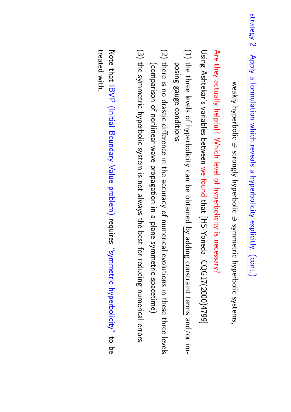# weakly hyperbolic Ŵ strongly hyperbolic Ŵ symmetric hyperbolic systems,

Are they actually helpful? Which level of hyperbolicityis necessary?

Using Ashtekar's variables between ີ<br>ຈັ found that [HS-Yoneda, CQG17(2000)4799]

- (1) the three levels of hyperbolicity can be obtained by adding constraint terms and/or imposing gauge conditions
- (2) there is no drastic difference in the accuracy<u>ዓ</u> numericalevolutions in these three levels (comparison of nonlinear wave propagationin a plane symmetric spacetime)
- (3) the symmetric hyperbolic system is not always the best for reducing numericalerrors

Note that IBVP (Initial Boundary Value problem) requires "symmetric hyperbolicity" to be treated with.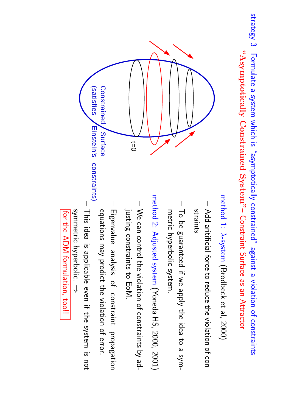strategy 3Formulate a system which is "asymptoticallyconstrained" against a violation of constraints **"AsymptoticallyConstrained System"** – Constraint Surface as an Attractor



- **–** straints Add aritificial force to reduce the violation of con-
- **–**  $\operatorname{\mathsf{S}}$ መ<br>ወ guaranteed if we apply the idea to a symmetric hyperbolic system.

method 2: Adjusted system (Yoneda HS, 2000, 2001)

- **–**  $\lessapprox$ can control the violation of constraints by adjusting constraintsto EoM.
- **–** equations may prodict the violation of error. Eigenvalue analysis<u>ር</u> constraintpropagation
- **–** symmetric hyperbolic. This idea is applicable even if the system is not ⇒

for the ADM formulation,too!!

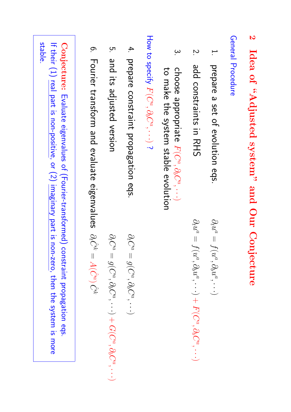### **2 Idea of "Adjusted system" and OurConjecture**

General Procedure

 prepare a set of evolutioneqs.

 $\partial_t u^a$ 

 $\partial_t u^a$ 

 $\begin{array}{c} \hline \end{array}$ 

 $f(u^a, \partial_b u^a,$ 

··· $\smile$  $\, +$ 

 $F(C^a, \partial_b C^a,$ 

··· $\smile$   $\overline{\phantom{a}}$ 

 $f(u^a, \partial_b u^a,$ 

··· $\smile$ 

- $\overline{2}$ add<br>D constraints $\equiv$ RHS<br>SHS
- $\omega$ choose appropriate  $F(C^a, \partial_b C^a,$ ··· $\smile$ to make the systemstable evolution

How to specify  $F(C^a, \partial_b C^a,$ ··· $\smile$ نہ.

- 4. prepare constraintpropagationeqs.
- <u>ო</u> and<br>D its adjustedversion

 $\partial_t C$  $\vert$  $g(C^a,\partial_b C^a,$ ··· $\smile$  $^{+}$  $G(C^a, \partial_b C^a,$ 

··· $\smile$   $\partial_t C$ 

 $\overline{\phantom{a}}$ 

 $g(C^a, \partial_b C^a,$ 

··· $\smile$ 

6. Fourier transformand<br>D evaluate eigenvalues  $\hat{\partial}_t\hat{C}^k$  $\overline{\phantom{a}}$  $A(\hat{C}^a)$  $\check{\mathcal{C}}$ 

**Conjecture:** Evaluate eigenvalues of (Fourier-transformed)constraintpropagation eqs. If their (1) real part is non-positive, or (2) imaginary part is non-zero, then the system is more stable.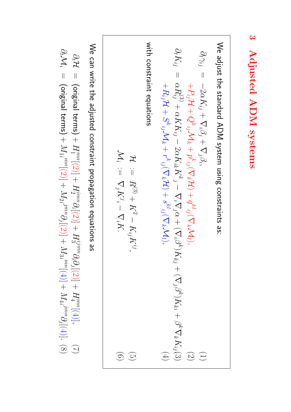We adjust the standard ADM system using constraints as:  
\n
$$
\partial_t \gamma_{ij} = -2\alpha K_{ij} + \nabla_i \beta_j + \nabla_j \beta_i,
$$
\n
$$
\partial_t \gamma_{ij} = -2\alpha K_{ij} + \nabla_i \beta_j + \nabla_j \beta_i,
$$
\n
$$
\partial_t \gamma_{ij} = \alpha R_{ij}^{(3)} + \alpha K K_{ij} - 2\alpha K_{ik} K^k{}_j - \nabla_i \nabla_j \alpha + (\nabla_i \beta^k) K_{kj} + (\nabla_j \beta^k) K_{ki} + \beta^k \nabla_k K_{ij}(3)
$$
\n
$$
\mathcal{H} = \alpha R_{ij}^{(3)} + \alpha K K_{ij} - 2\alpha K_{ik} K^k{}_j - \nabla_i \nabla_j \alpha + (\nabla_i \beta^k) K_{ki} + \beta^k \nabla_k K_{ij}(3)
$$
\n
$$
\mathcal{H} := \nabla_j K^j - \nabla_i K^j.
$$
\n
$$
\mathcal{M}_i := \nabla_j K^i - \nabla_i K^i.
$$
\n(6)

 $\lessapprox$ can write the adjusted constraintpropagationequations as

 $\mathcal{Q}_t$  $\mathcal{H}% _{0}\left( t\right)$  $\vert \vert$ (original terms)  $+$  $H \,$ um<br>س  $+\left[ \left( 7\right) \right]$  $H_2^{imm}\partial_i$  $[(2)] +$  $H_3^{ijmn}\partial_i\partial_j$  $[(2)] +$  $H_4^{mn}$  $[(4)]$  $\bigodot$  $\mathcal{Q}_t$  $\sum_i$  $\vert$ (original terms)  $\overline{+}$  $\mathbb{M}_1$ .<br>imn  $[(2)] +$  $M_2\,$ ijmn∂j $[(2)] +$  $\mathbb{M}_3$ i<br>nu  $+\left[(\mathrm{t})\right]$  $M_{4}$ ijmn∂j[(4)].  $\circledS$ 

**3 Adjusted ADM**

 **systems**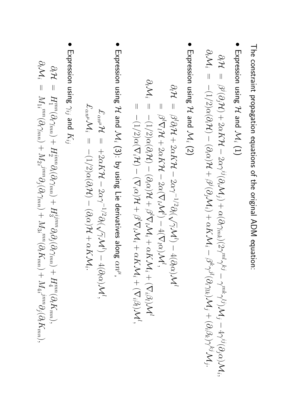The constraintpropagationequations of the original ADM equation:

• Expression using  $\mathcal{L}% _{G}(\theta)=\left( \mathcal{M}_{G}(\theta)\right) ^{\ast}$ and<br>D  $\sum_i$  $\widehat{\Xi}$ 

$$
\begin{array}{lll} \partial_t \mathcal{H} & = & \beta^j(\partial_j \mathcal{H}) + 2 \alpha K \mathcal{H} - 2 \alpha \gamma^{ij}(\partial_i \mathcal{M}_j) + \alpha (\partial_l \gamma_{mk})(2 \gamma^{ml} \gamma^{kj} - \gamma^{mk} \gamma^{lj}) \mathcal{M}_j - 4 \gamma^{ij}(\partial_j \alpha) \mathcal{M}_i, \\ \partial_t \mathcal{M}_i & = & -(1/2) \alpha(\partial_i \mathcal{H}) - (\partial_i \alpha) \mathcal{H} + \beta^j(\partial_j \mathcal{M}_i) + \alpha K \mathcal{M}_i - \beta^k \gamma^{jl}(\partial_i \gamma_{lk}) \mathcal{M}_j + (\partial_i \beta_k) \gamma^{kj} \mathcal{M}_j. \end{array}
$$

• Expression using  $\mathcal{H}% _{G}(\theta)=\left( \mathcal{M}_{G}(\theta)\right) ^{\ast}$ and<br>D  $\sum_i$ (2)

$$
\partial_t \mathcal{H} = \beta^l \partial_t \mathcal{H} + 2\alpha K \mathcal{H} - 2\alpha \gamma^{-1/2} \partial_l (\sqrt{\gamma} \mathcal{M}^l) - 4(\partial_l \alpha) \mathcal{M}^l
$$
  
\n
$$
= \beta^l \nabla_l \mathcal{H} + 2\alpha K \mathcal{H} - 2\alpha (\nabla_l \mathcal{M}^l) - 4(\nabla_l \alpha) \mathcal{M}^l,
$$
  
\n
$$
\partial_t \mathcal{M}_i = -(1/2) \alpha(\partial_i \mathcal{H}) - (\partial_i \alpha) \mathcal{H} + \beta^l \nabla_l \mathcal{M}_i + \alpha K \mathcal{M}_i + (\nabla_i \beta) \mathcal{M}^l,
$$
  
\n
$$
= -(1/2) \alpha(\nabla_i \mathcal{H}) - (\nabla_i \alpha) \mathcal{H} + \beta^l \nabla_l \mathcal{M}_i + \alpha K \mathcal{M}_i + (\nabla_i \beta) \mathcal{M}^l,
$$

• Expression using  $\mathcal{H}% _{0}\left( t\right)$ and<br>D  $\sum_i$ (3): by using Lie derivatives along  $\alpha n^\mu$  ,

$$
\mathcal{L}_{\alpha n^{\mu}} \mathcal{H} = +2\alpha K \mathcal{H} - 2\alpha \gamma^{-1/2} \partial_l (\sqrt{\gamma} \mathcal{M}^l) - 4(\partial_l \alpha) \mathcal{M}^l,
$$
  

$$
\mathcal{L}_{\alpha n^{\mu}} \mathcal{M}_i = -(1/2)\alpha(\partial_i \mathcal{H}) - (\partial_i \alpha) \mathcal{H} + \alpha K \mathcal{M}_i.
$$

• Expression using γij and<br>D  $K_{ij}$ 

∂t

$$
\begin{array}{lcl} \partial_t \mathcal{H} & = & H_1^{mn}(\partial_t \gamma_{mn}) + H_2^{imm} \partial_i (\partial_t \gamma_{mn}) + H_3^{ijmn} \partial_i \partial_j (\partial_t \gamma_{mn}) + H_4^{mn}(\partial_t K_{mn}), \\ \partial_t \mathcal{M}_i & = & M_1^{mn}(\partial_t \gamma_{mn}) + M_2^{jmn} \partial_j (\partial_t \gamma_{mn}) + M_3^{im}(\partial_t K_{mn}) + M_4^{jmn} \partial_j (\partial_t K_{mn}), \end{array}
$$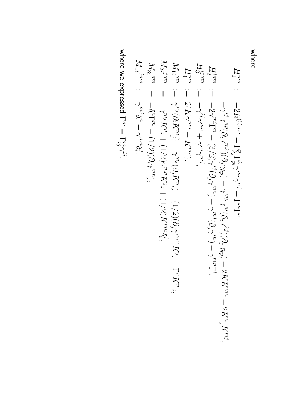where

$$
H_{1}^{mn} := -2R^{(3)mn} - \Gamma_{Kj}^{p} \Gamma_{Fj}^{p} \gamma_{m} \gamma_{j} + \Gamma^{m} \Gamma^{n}
$$
\n
$$
H_{2}^{jmn} := -2R^{(3)m} - \Gamma_{Kj}^{p} \Gamma_{Fj}^{p} \gamma_{m} \gamma_{j} + \Gamma^{m} \Gamma^{n}
$$
\n
$$
H_{3}^{jmn} := -2\gamma^{nj} \gamma^{pn} (\partial_{i}\gamma^{mk})(\partial_{j}\gamma_{k}p) - \gamma^{mp} \gamma^{ni} (\partial_{i}\gamma^{kn}) + \gamma^{mn} (\partial_{i}\gamma^{kn}) - 2K K^{mn} + 2K^{n}{}_{j} K^{mj}
$$
\n
$$
H_{1}^{m} := -\gamma^{ij} \gamma^{mn} - K^{m}{}_{j} \gamma_{j}
$$
\n
$$
H_{2}^{m} := -2(K\gamma^{m} - K^{m})
$$
\n
$$
M_{2}^{j} = -\gamma^{mj} K_{n}^{n} + (1/2) \gamma^{mn} K^{j} + (1/2) K^{mn} \delta_{i}^{j},
$$
\n
$$
M_{3}^{j} = -\gamma^{mj} K_{n}^{n} + (1/2) (\partial_{i}\gamma^{mn})
$$
\n
$$
M_{4}^{j} = -\gamma^{mj} \delta_{i}^{n} - \gamma^{mj} \delta_{i}^{n},
$$
\n
$$
M_{3}^{j} = -\gamma^{mj} K_{n}^{n} + (1/2) (\partial_{i}\gamma^{mn})
$$
\n
$$
M_{3}^{j} = -\gamma^{mj} \delta_{i}^{m} - \gamma^{mn} \delta_{i}^{j},
$$
\n
$$
M_{4}^{j} = -\gamma^{mj} \delta_{i}^{m} - \gamma^{mn} \delta_{i}^{j},
$$
\n
$$
M_{5}^{j} = -\gamma^{mj} K_{n}^{j} + (1/2) (\partial_{i}\gamma^{mn})
$$
\n
$$
K^{j}^{j}, + (1/2) K^{mn} \delta_{i}^{j},
$$

where we expressed Γm  $\mathbb{L}$ ijmγij.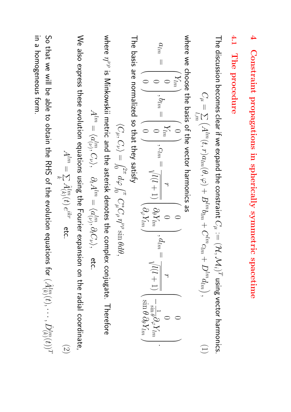#### **4 Constraintpropagationsin sphericallysymmetricspacetime 4.1 The procedure**

The discussion becomes clear if we expand the constraint  $C^{A}$  $:= (\mathcal{H}, \mathcal{M}_i)^T$ using vector harmonics.

$$
C_{\mu} = \sum_{l,m} \left( A^{lm}(t,r) a_{lm}(\theta, \varphi) + B^{lm} b_{lm} + C^{lm} c_{lm} + D^{lm} d_{lm} \right), \tag{1}
$$

where we choose the basis of the vector harmonicsစ္တ

$$
a_{lm} = \begin{pmatrix} Y_{lm} \\ 0 \\ 0 \end{pmatrix}, b_{lm} = \begin{pmatrix} 0 \\ Y_{lm} \\ 0 \end{pmatrix}, c_{lm} = \frac{r}{\sqrt{l(l+1)}} \begin{pmatrix} 0 \\ \partial_{\theta} Y_{lm} \\ \partial_{\varphi} Y_{lm} \end{pmatrix}, d_{lm} = \frac{r}{\sqrt{l(l+1)}} \begin{pmatrix} \frac{1}{\sqrt{2m} \theta} \frac{1}{\theta} \frac{1}{\theta} \frac{1}{\theta} \frac{1}{\theta} \frac{1}{\theta} \frac{1}{\theta} \frac{1}{\theta} \frac{1}{\theta} \frac{1}{\theta} \frac{1}{\theta} \frac{1}{\theta} \frac{1}{\theta} \frac{1}{\theta} \frac{1}{\theta} \frac{1}{\theta} \frac{1}{\theta} \frac{1}{\theta} \frac{1}{\theta} \frac{1}{\theta} \frac{1}{\theta} \frac{1}{\theta} \frac{1}{\theta} \frac{1}{\theta} \frac{1}{\theta} \frac{1}{\theta} \frac{1}{\theta} \frac{1}{\theta} \frac{1}{\theta} \frac{1}{\theta} \frac{1}{\theta} \frac{1}{\theta} \frac{1}{\theta} \frac{1}{\theta} \frac{1}{\theta} \frac{1}{\theta} \frac{1}{\theta} \frac{1}{\theta} \frac{1}{\theta} \frac{1}{\theta} \frac{1}{\theta} \frac{1}{\theta} \frac{1}{\theta} \frac{1}{\theta} \frac{1}{\theta} \frac{1}{\theta} \frac{1}{\theta} \frac{1}{\theta} \frac{1}{\theta} \frac{1}{\theta} \frac{1}{\theta} \frac{1}{\theta} \frac{1}{\theta} \frac{1}{\theta} \frac{1}{\theta} \frac{1}{\theta} \frac{1}{\theta} \frac{1}{\theta} \frac{1}{\theta} \frac{1}{\theta} \frac{1}{\theta} \frac{1}{\theta} \frac{1}{\theta} \frac{1}{\theta} \frac{1}{\theta} \frac{1}{\theta} \frac{1}{\theta} \frac{1}{\theta} \frac{1}{\theta} \frac{1}{\theta} \frac{1}{\theta} \frac{1}{\theta} \frac{1}{\theta} \frac{1}{\theta} \frac{1}{\theta} \frac{1}{\theta} \frac{1}{\theta} \frac{1}{\
$$

The basis are normalizedso that they satisfy

$$
\langle C_\mu, C_\nu \rangle = \int_0^{2\pi} d\varphi \int_0^{\pi} C_\mu^* C_\rho \eta^{\nu\rho} \sin \theta d\theta,
$$

where ηνρ ີ ເ Minkowskii metric and the asterisk denotes the complex conjugate.Therefore

$$
A^{lm}=\langle a^{lm}_{(\nu)},C_{\nu}\rangle,\quad \partial_t A^{lm}=\langle a^{lm}_{(\nu)},\partial_t C_{\nu}\rangle,\quad \text{etc.}
$$

 $\lessapprox$ also express these evolution equations using the Fourier expansion on the radial coordinate,

$$
A^{lm} = \sum_{k} \hat{A}_{(k)}^{lm}(t) e^{ikr} \quad \text{etc.} \tag{2}
$$

So that we will be able to obtain the RHS of the evolution equations for  $(\hat{A}_{(k)}^{lm}(t),$  $\cdots, \hat{D}_{(k)}^{lm}(t))$ T in a form.

homogeneous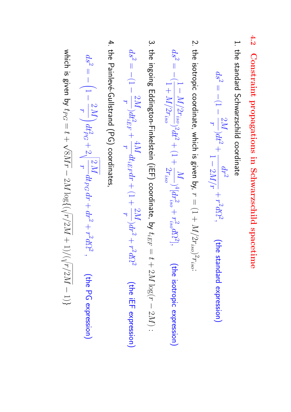- **4.2 Constraintpropagations in Schwarzschildspacetime**
- 1. the standard Schwarzschildcoordinate

$$
ds^2 = -(1-\frac{2M}{r})dt^2 + \frac{dr^2}{1-2M/r} + r^2d\Omega^2, \qquad \text{(the standard expression)}
$$

2. the isotropic coordinate, which is given by,  $\rightarrow$  $=$   $\left(1 + \right)$ M/ $2r_{iso})^2r_{iso}$ 

$$
ds^2 = -\langle \frac{1 - M/2r_{iso}}{1 + M/2r_{iso}} \rangle^2 dt^2 + (1 + \frac{M}{2r_{iso}})^4 [dr_{iso}^2 + r_{iso}^2 d\Omega^2], \qquad \text{(the isotropic expression)}
$$

3. the ingoing Eddington-Finkelstein (iEF) coordinate, $\overline{S}$  $t_{iEF}$  $\overline{\phantom{a}}$  $\rightarrow$ + 2M log( $\rightarrow$ −  $\mathcal C$  $\mathbb{N}$ 

:

$$
ds^2 = -(1-\frac{2M}{r})dt_{iEF}^2 + \frac{4M}{r}dt_{iEF}dr + (1+\frac{2M}{r})dr^2 + r^2d\Omega^2
$$
 (the iEF expression)

4. the Painlevé-Gullstrand (PG) coordinates,

$$
ds^{2} = -\left(1 - \frac{2M}{r}\right)dt_{PG}^{2} + 2\sqrt{\frac{2M}{r}}dt_{PG}dr + dr^{2} + r^{2}d\Omega^{2}, \qquad \text{(the PG expression)}
$$

which is given by tPG  $\overline{\phantom{a}}$  $\rightarrow$  $\hspace{0.1mm} + \hspace{0.1mm}$  $\lesssim$  $\mathbb{N}$ −  $\boxtimes$  $\log\left(\left(\right)$  $\gamma'$  $\boxtimes$ + 1) $\left\langle \right\rangle$  $\gamma'$  $\boxtimes$ −  $\overline{\phantom{0}}$  $\overline{\phantom{a}}$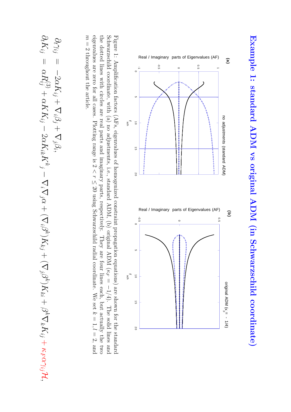

Schwarzschildcoordinate, with (a) no adjustments, i.e., standard ADM, (b) original ADM ( κ *F* Figure 1: Amplification factors (AFs, eigenvalues of homogenizedconstraintpropagation equations) are shown for the standard  $\overline{\phantom{a}}$ 1/4). The solid lines and eigenvalues are zero for all cases. Plotting range is 2 the dotted lines with circles are real parts and imaginary parts, respectively. They are four lines each, but actually the two へ<br>〜 ≤ 20 using Schwarzschild radial coordinate. We set z  $= 1, l$  $= 2$ , and m ا|<br>M throughoutthe article.

$$
\frac{\partial_t\gamma_{ij}}{\partial_t K_{ij}}=-2\alpha K_{ij}+\nabla_i\beta_j+\nabla_j\beta_i,\hspace{0.7cm}\\ \nabla_j\gamma_{ij}-2\alpha K_{ik}K_{\delta_j}-\nabla_i\nabla_j\alpha+(\nabla_i\beta^k)K_{kj}+(\nabla_j\beta^k)K_{ki}+\beta^k\nabla_kK_{ij}+\kappa_F\alpha\gamma_{ij}\mathcal{H},
$$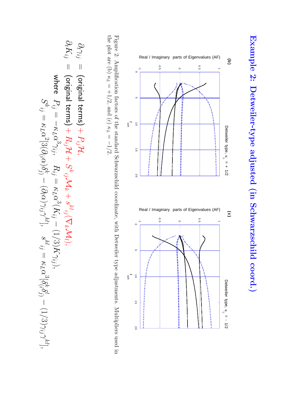

the plot are (b) Figure 2: Amplification factors of the standardSchwarzschildcoordinate, with Detweiler type adjustments.Multipliers used in κ *L*  $= +1/2$ , and (c) κ *L*  $\overline{\mathbb{I}}$ −1/2.

$$
\partial_t \gamma_{ij} = \text{(original terms)} + P_{ij} \mathcal{H},
$$
\n
$$
\partial_t K_{ij} = \text{(original terms)} + P_{ij} \mathcal{H},
$$
\n
$$
\partial_t K_{ij} = \text{(original terms)} + R_{ij} \mathcal{H} + S^{k}_{ij} \mathcal{M}_k + s^{k l}_{ij} (\nabla_k \mathcal{M}_l),
$$
\n
$$
\text{where } P_{ij} = -\kappa_L \alpha^3 \gamma_{ij}, \quad R_{ij} = \kappa_L \alpha^3 (K_{ij} - (1/3) K \gamma_{ij}),
$$
\n
$$
S^{k}_{ij} = \kappa_L \alpha^2 [3(\partial_{(i} \alpha) \delta^k_{j} - (\partial_l \alpha) \gamma_{ij} \gamma^{kl}], \quad s^{kl}_{ij} = \kappa_L \alpha^3 [\delta^k_{(i} \delta^l_{j} - (1/3) \gamma_{ij} \gamma^{kl}],
$$

 $\overline{\phantom{a}}$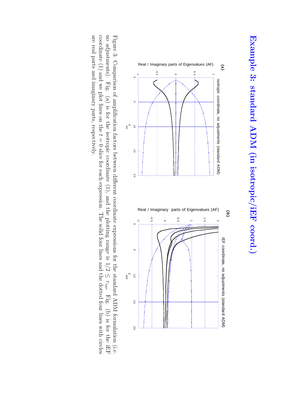

no adjustments). Fig. (a) is for the isotropic coordinate $(1)$ , and the plotting range is  $1/2$ Figure 3: Comparison of amplification factors between different coordinateexpressions for the standard ADM formulation (i.e. ≤ r*iso*. Fig. (b) is for the iEF coordinate(1) and we plot lines on the  $t$  $\overline 0$ slice for each expression. The solid four lines and the dotted four lines with circles are real parts and imaginary parts, respectively.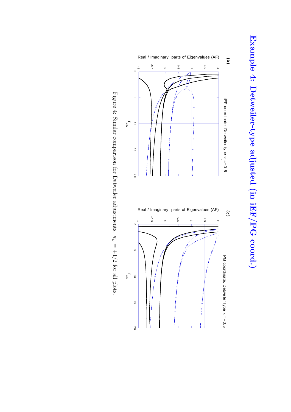



Figure 4: Similar comparison for Detweileradjustments. κ *L*  $= +1/2$ for all plots.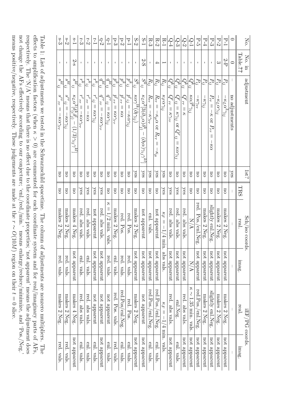| No.           | $No.$ in       | adjustment                                                                                                                                     | 1st?                    |                         | Sch/iso coords.                          |                             | iEF/PG coords                                          |               |
|---------------|----------------|------------------------------------------------------------------------------------------------------------------------------------------------|-------------------------|-------------------------|------------------------------------------|-----------------------------|--------------------------------------------------------|---------------|
|               | Table.??       |                                                                                                                                                |                         | TRS                     | real                                     | imag.                       | real.                                                  | nnag.         |
| $\circ$       | $\circ$        | no adjustments                                                                                                                                 | yes                     |                         |                                          |                             |                                                        |               |
| $P-1$         | 2-P            | $P_{ij}$<br>$\kappa_L \alpha^3 \gamma_{ij}$                                                                                                    | <b>DO</b>               | <b>DO</b>               | makes<br>$\mathcal{C}$<br><b>Neg</b>     | not apparent                | makes 2 Neg.                                           | not apparent  |
| $P-2$         | $\infty$       | $F_{ij}$<br>$-\kappa_L \alpha \gamma_{ij}$                                                                                                     | <b>DO</b>               | <b>DO</b>               | makes<br>$2$ Neg.                        | not apparent                | makes 2 Neg.                                           | not apparent  |
| P-3           | $\mathbf{I}$   | $E_{ij}$<br>$P_{rr} =$<br>$\mathcal{L}$<br>$\overline{c}$<br>$P_{rr}$<br>КQ                                                                    | <b>DO</b>               | $\overline{\mathrm{U}}$ | slightly enl.Neg                         | not apparent                | slightly enl.Neg.                                      | not apparent  |
| $P-4$         | $\mathbf{I}$   | $E_j$<br>$-\kappa \gamma_{ij}$                                                                                                                 | <b>DO</b>               | $\overline{\mathrm{u}}$ | makes<br>$2$ Neg.                        | not apparent                | makes 2 Neg.                                           | not apparent  |
| P-5           | $\mathbf I$    | $E_{ij}$<br>$-\kappa\gamma_{rr}$                                                                                                               | <b>DO</b>               | <b>DO</b>               | red. Pos./enl.Neg                        | not apparent                | red.Pos./enl.Neg                                       | not apparent  |
| ⊙-1           | $\mathbf{I}$   | $Q^{k}{}_{ij}$<br>$\kappa\alpha\beta^k\gamma_{ij}$                                                                                             | <b>DO</b>               | <b>DO</b>               | Z<br>$\sum$                              | $\frac{\text{N}}{\text{N}}$ | $\kappa \sim 1.35$ min. vals.                          | not apparent  |
| Q-2           | $\mathbf{I}$   | Gr.;7<br>$Q^r{}_{rr} = \kappa$                                                                                                                 | $\overline{\mathrm{U}}$ | yes                     | red.<br>abs vals                         | not apparent                | red. abs vals.                                         | not apparent  |
| ್ಪಿ           | $\blacksquare$ | Eris<br>σ, <sub>ΰ</sub><br>$\vert\vert$<br>$\kappa\gamma_{ij}$<br>$\rm G$<br>$\tilde{Q}^{\prime}$<br>$\ddot{c}$<br>$\kappa \alpha \gamma_{ij}$ | $\overline{5}$          | yes                     | red.<br>abs vals                         | not apparent                | enl.Neg.                                               | enl. vals.    |
| $Q-4$         | $\mathbf{I}$   | Òr.<br>i<br>$Q^r{}_{rr}=\kappa\gamma_{rr}$                                                                                                     | <b>DO</b>               | yes                     | red.<br>abs vals                         | not apparent                | red. abs vals.                                         | not apparent  |
| $R-1$         |                | $R_{ij}$<br>$\kappa_F \alpha \gamma_{ij}$                                                                                                      | yes                     | λes                     | КF<br>$\mid \mid$<br>$-1/4$ min.         | sls vals                    | $\kappa_F = -1/4$ min.                                 | vals.         |
| $R-2$         | 4              | $R_{ij}$<br>$R_{rr} =$<br>$-\kappa_\mu \alpha$ or<br>$R_{rr}$<br>$\parallel$<br>$\kappa_{\mu}$                                                 | Xes                     | <b>DO</b>               | not apparent                             | not apparent                | red.Pos./enl.Neg.                                      | enl. vals.    |
| $R-3$         | $\mathbf I$    | $R_{ij}$<br>$R_{rr} =$<br>$-K\gamma_{rr}$                                                                                                      | yes                     | $\overline{\mathrm{U}}$ | enl. vals                                | not apparent                | red.Pos./enl.Neg.                                      | enl. vals.    |
| $S-1$         | $2\hbox{--}S$  | $S^{k}{}_{ij}$<br>$\kappa_L \alpha^2 [3 (\partial_{(i} \alpha) \delta^k_{j)}]$<br>$\langle \partial_l \alpha \rangle \gamma_{ij} \gamma^{kl}$  | $\chi_{\rm{eS}}$        | $\overline{\mathrm{u}}$ | not apparent                             | not apparent                | not apparent                                           | not apparent  |
| $S-2$         | $\mathbf I$    | $S^{k}$ ij<br>$\kappa\alpha\gamma^{lk}(\partial_l\gamma_{ij})$                                                                                 | yes                     | <b>DO</b>               | makes 2 Neg.                             | not apparent                | makes 2 Neg.                                           | not apparent  |
| $P-1$         | $\mathbf{I}$   | $p^{k}$ ij<br>$\widetilde{p'}$ ij<br>$\left  \right $<br>$-\kappa\alpha\gamma_{ij}$                                                            | <b>DO</b>               | <b>DO</b>               | red.<br>$_{\rm Pos}$                     | red. vals                   | red. Pos                                               | enl. vals.    |
| p-2           | $\mathbf{I}$   | $p^{k}$ ij<br>$p^r$ rr<br>$=$ K $\alpha$                                                                                                       | $\overline{\mathrm{U}}$ | $\overline{\mathrm{U}}$ | red. Pos                                 | red. vals                   | red.Pos/enl.Neg                                        | enl. vals.    |
| ್ದ            | $\blacksquare$ | $p^{k}$ ij<br>$p^r$ rr<br>$\vert\vert$<br>$\kappa\alpha\gamma_{rr}$                                                                            | $\overline{5}$          | $\overline{\mathrm{u}}$ | makes 2 Neg                              | enl.<br>vals.               | red. Pos. vals.                                        | red.<br>vals. |
| $q-1$         | $\mathbf{I}$   | $\overline{q^{kl}}_{ij}$<br>$q^{rr}{}_{ij}=\kappa \alpha \gamma_{ij}$                                                                          | <b>DO</b>               | <b>DO</b>               | Z<br>$=$ 1/2 min. vals                   | red. vals.                  | not apparent                                           | enl. vals.    |
| $\frac{q}{2}$ |                | $q^{kl}$<br>$q^{\overline{rr}}$<br>17<br>$-K\alpha\gamma_{rr}$                                                                                 | ΞO                      | χes                     | red.<br>slss vals                        | not apparent                | not apparent                                           | not apparent  |
| $r-1$         | $\mathbf I$    | $r^{k}{}_{ij}$<br>كمه<br>$\ddot{c}$<br>$= \kappa \alpha \gamma_{ij}$                                                                           | <b>DO</b>               | yes                     | not apparent                             | not apparent                | not apparent                                           | enl. vals.    |
| $r-2$         | $\mathbf I$    | $r_{ij}$<br>$r^\prime$<br>T<br>$\vert\vert$<br>$-\kappa\alpha$                                                                                 | $\overline{\mathrm{U}}$ | yes                     | red.<br>slss vals.                       | enl. vals                   | red. abs vals.                                         | enl. vals.    |
| $5-3$         |                | $r_{i_j}$<br>كجمه<br>Ť<br>$-K\alpha\gamma_{rr}$                                                                                                | <b>DO</b>               | yes                     | red.<br>sqe<br>vals.                     | enl.<br>vals.               | red. abs vals                                          | enl.<br>vals. |
| $s-1$         | $2-8$          | $s^{\overline{k}i}$<br>$\kappa_L \alpha^3 [\delta^{\kappa}_{(i} \delta^{\iota}_{j)} - (1/3) \gamma_{ij} \gamma^{kl}]$                          | $\overline{5}$          | <b>DO</b>               | makes 4 Neg                              | not apparent                | makes 4 Neg.                                           | not apparent  |
| $8-2$         | $\mathbf I$    | $s^{kl}$<br>$s^{rr}$ :<br>$\left  {}\right $<br>$-\kappa\alpha\gamma_{ij}$                                                                     | JO                      | <b>DO</b>               | makes<br>$\mathcal{L}$<br>Neg.           | red. vals                   | makes 2 Neg.                                           | red. vals     |
| $S-3$         | $\mathbf I$    | $s^{kl}$<br>$s^{\prime\prime}$<br>Ť<br>$\parallel$<br>$\kappa \alpha \gamma_{rr}$                                                              | <b>DO</b>               | <b>DO</b>               | makes<br>$\overline{\mathcal{C}}$<br>Neg | red.<br>vals.               | makes 2 Neg.                                           | red.<br>vals. |
|               |                | Table 1: List of adjustments we tested in the Schwarzschild spacetime.                                                                         |                         |                         |                                          |                             | The column of adjustments are nonzero multipliers. The |               |
|               |                |                                                                                                                                                |                         |                         |                                          |                             |                                                        |               |

adjustmentsspacetime.adjustmentsmultipliers.effects to amplification factors (when κ > 0) are commented for each coordinate system and for real/imaginary parts of AFs, meanspositive/negative,respectively. These judgements are made at the not change the AFs effectively according to our conjecture;'enl./red./min.'meansenlarge/reduce/minimize, and 'Pos./Neg.' respectively. The 'N/A' means that there is no effect due to the coordinateproperties; 'not apparent' means the adjustment does r ∼ O(10  $\mathbb{Z}$ region on their  $\rightarrow$  $\overline 0$ slice.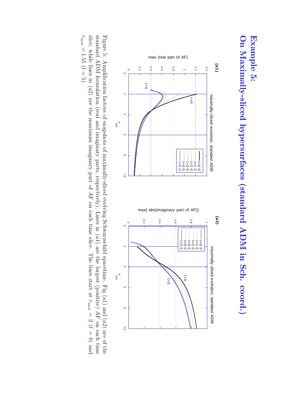## **On Maximally-slicedhypersurfaces (standard ADM in Sch. coord.) Example 5:**



slice, while lines in (a2) are the maximum imaginary part of AF on each time slice. The lines start at standard ADM formulation (real and imaginary parts, respectively), Lines in (a1) are the largest (positive) AF on each time Figure 5: Amplification factors of snapshots of maximally-sliced evolving Schwarzschildspacetime. Fig (a1) and (a2) are of the r*min*  $=2(t$  $\overline{0}$ and r*min*  $= 1.55$  ( $\bar{t} =$ 5).